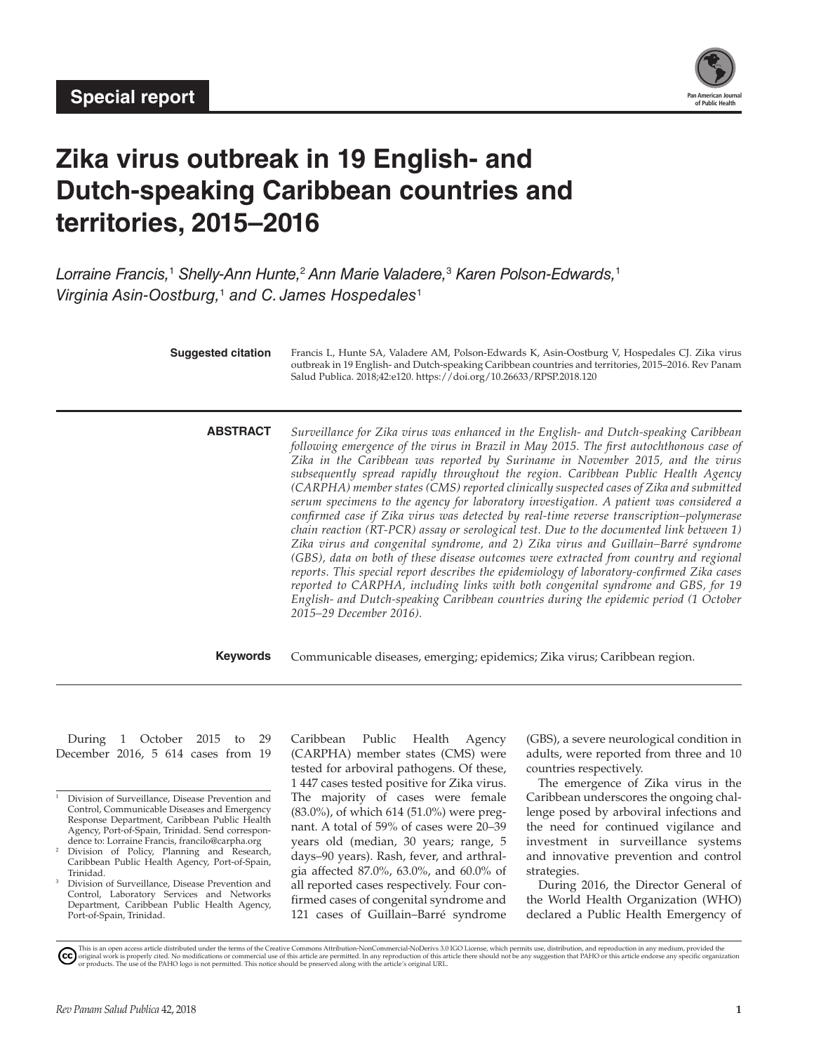

# **Zika virus outbreak in 19 English- and Dutch-speaking Caribbean countries and territories, 2015–2016**

*Lorraine Francis,*<sup>1</sup>  *Shelly-Ann Hunte,*<sup>2</sup>  *Ann Marie Valadere,*<sup>3</sup>  *Karen Polson-Edwards,*<sup>1</sup> *Virginia Asin-Oostburg,*<sup>1</sup>  *and C. James Hospedales*<sup>1</sup>

| <b>Suggested citation</b> | Francis L, Hunte SA, Valadere AM, Polson-Edwards K, Asin-Oostburg V, Hospedales CJ. Zika virus<br>outbreak in 19 English- and Dutch-speaking Caribbean countries and territories, 2015-2016. Rev Panam<br>Salud Publica. 2018;42:e120. https://doi.org/10.26633/RPSP.2018.120                                                                                                                                                                                                                                                                                                                                                                                                                                                                                                                                                                                                                                                                                                                                                                                                                                                                                                                                            |
|---------------------------|--------------------------------------------------------------------------------------------------------------------------------------------------------------------------------------------------------------------------------------------------------------------------------------------------------------------------------------------------------------------------------------------------------------------------------------------------------------------------------------------------------------------------------------------------------------------------------------------------------------------------------------------------------------------------------------------------------------------------------------------------------------------------------------------------------------------------------------------------------------------------------------------------------------------------------------------------------------------------------------------------------------------------------------------------------------------------------------------------------------------------------------------------------------------------------------------------------------------------|
| <b>ABSTRACT</b>           | Surveillance for Zika virus was enhanced in the English- and Dutch-speaking Caribbean<br>following emergence of the virus in Brazil in May 2015. The first autochthonous case of<br>Zika in the Caribbean was reported by Suriname in November 2015, and the virus<br>subsequently spread rapidly throughout the region. Caribbean Public Health Agency<br>(CARPHA) member states (CMS) reported clinically suspected cases of Zika and submitted<br>serum specimens to the agency for laboratory investigation. A patient was considered a<br>confirmed case if Zika virus was detected by real-time reverse transcription-polymerase<br>chain reaction (RT-PCR) assay or serological test. Due to the documented link between 1)<br>Zika virus and congenital syndrome, and 2) Zika virus and Guillain–Barré syndrome<br>(GBS), data on both of these disease outcomes were extracted from country and regional<br>reports. This special report describes the epidemiology of laboratory-confirmed Zika cases<br>reported to CARPHA, including links with both congenital syndrome and GBS, for 19<br>English- and Dutch-speaking Caribbean countries during the epidemic period (1 October<br>2015-29 December 2016). |
| <b>Keywords</b>           | Communicable diseases, emerging; epidemics; Zika virus; Caribbean region.                                                                                                                                                                                                                                                                                                                                                                                                                                                                                                                                                                                                                                                                                                                                                                                                                                                                                                                                                                                                                                                                                                                                                |

During 1 October 2015 to 29 December 2016, 5 614 cases from 19 Caribbean Public Health Agency (CARPHA) member states (CMS) were tested for arboviral pathogens. Of these, 1 447 cases tested positive for Zika virus. The majority of cases were female (83.0%), of which 614 (51.0%) were pregnant. A total of 59% of cases were 20–39 years old (median, 30 years; range, 5 days–90 years). Rash, fever, and arthralgia affected 87.0%, 63.0%, and 60.0% of all reported cases respectively. Four confirmed cases of congenital syndrome and 121 cases of Guillain–Barré syndrome (GBS), a severe neurological condition in adults, were reported from three and 10 countries respectively.

The emergence of Zika virus in the Caribbean underscores the ongoing challenge posed by arboviral infections and the need for continued vigilance and investment in surveillance systems and innovative prevention and control strategies.

During 2016, the Director General of the World Health Organization (WHO) declared a Public Health Emergency of

<sup>&</sup>lt;sup>1</sup> Division of Surveillance, Disease Prevention and Control, Communicable Diseases and Emergency Response Department, Caribbean Public Health Agency, Port-of-Spain, Trinidad. Send correspondence to: Lorraine Francis, [francilo@carpha.org](mailto:francilo@carpha.org)

<sup>&</sup>lt;sup>2</sup> Division of Policy, Planning and Research, Caribbean Public Health Agency, Port-of-Spain, Trinidad.

Division of Surveillance, Disease Prevention and Control, Laboratory Services and Networks Department, Caribbean Public Health Agency, Port-of-Spain, Trinidad.

This is an open access article distributed under the terms of the Creative Commons Attribution-NonCommercial-NoDerivs 3.0 IGO License, which permits use, distribution, and reproduction in any medium, provided the<br>orignal w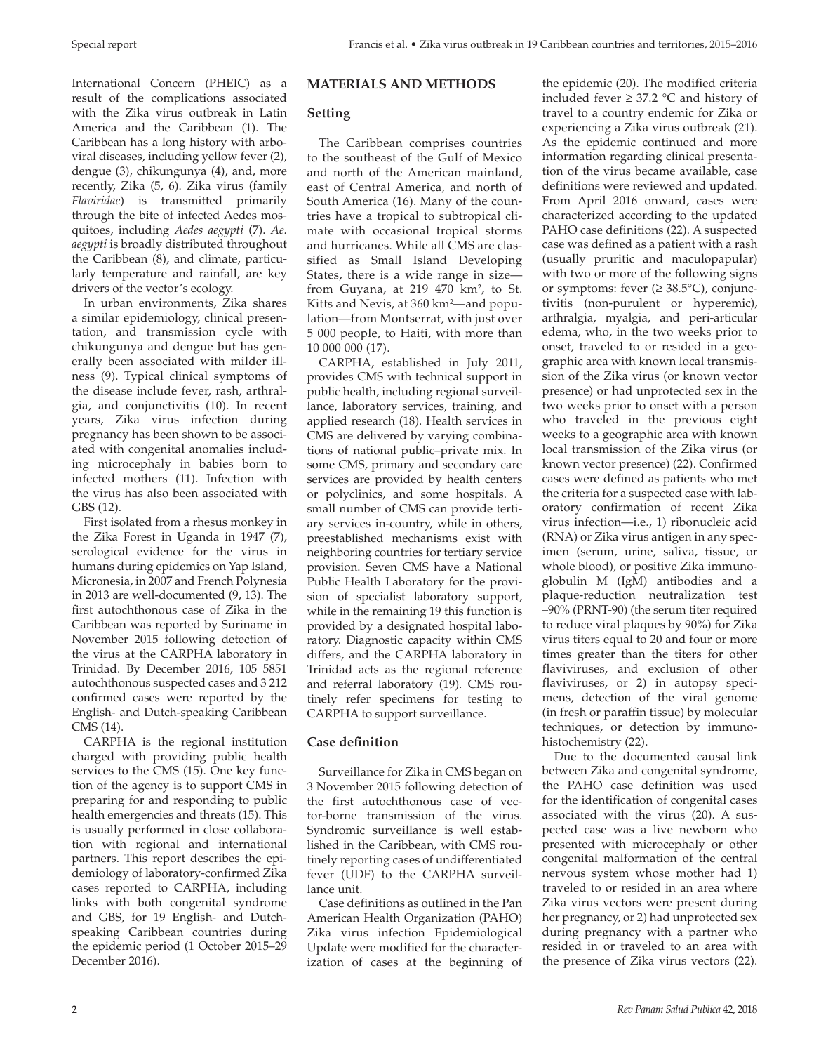International Concern (PHEIC) as a result of the complications associated with the Zika virus outbreak in Latin America and the Caribbean (1). The Caribbean has a long history with arboviral diseases, including yellow fever (2), dengue (3), chikungunya (4), and, more recently, Zika (5, 6). Zika virus (family *Flaviridae*) is transmitted primarily through the bite of infected Aedes mosquitoes, including *Aedes aegypti* (7). *Ae. aegypti* is broadly distributed throughout the Caribbean (8), and climate, particularly temperature and rainfall, are key drivers of the vector's ecology.

In urban environments, Zika shares a similar epidemiology, clinical presentation, and transmission cycle with chikungunya and dengue but has generally been associated with milder illness (9). Typical clinical symptoms of the disease include fever, rash, arthralgia, and conjunctivitis (10). In recent years, Zika virus infection during pregnancy has been shown to be associated with congenital anomalies including microcephaly in babies born to infected mothers (11). Infection with the virus has also been associated with GBS (12).

First isolated from a rhesus monkey in the Zika Forest in Uganda in 1947 (7), serological evidence for the virus in humans during epidemics on Yap Island, Micronesia, in 2007 and French Polynesia in 2013 are well-documented (9, 13). The first autochthonous case of Zika in the Caribbean was reported by Suriname in November 2015 following detection of the virus at the CARPHA laboratory in Trinidad. By December 2016, 105 5851 autochthonous suspected cases and 3 212 confirmed cases were reported by the English- and Dutch-speaking Caribbean CMS (14).

CARPHA is the regional institution charged with providing public health services to the CMS (15). One key function of the agency is to support CMS in preparing for and responding to public health emergencies and threats (15). This is usually performed in close collaboration with regional and international partners. This report describes the epidemiology of laboratory-confirmed Zika cases reported to CARPHA, including links with both congenital syndrome and GBS, for 19 English- and Dutchspeaking Caribbean countries during the epidemic period (1 October 2015–29 December 2016).

# **MATERIALS AND METHODS**

# **Setting**

The Caribbean comprises countries to the southeast of the Gulf of Mexico and north of the American mainland, east of Central America, and north of South America (16). Many of the countries have a tropical to subtropical climate with occasional tropical storms and hurricanes. While all CMS are classified as Small Island Developing States, there is a wide range in size from Guyana, at 219 470 km<sup>2</sup>, to St. Kitts and Nevis, at 360 km<sup>2</sup>—and population—from Montserrat, with just over 5 000 people, to Haiti, with more than 10 000 000 (17).

CARPHA, established in July 2011, provides CMS with technical support in public health, including regional surveillance, laboratory services, training, and applied research (18). Health services in CMS are delivered by varying combinations of national public–private mix. In some CMS, primary and secondary care services are provided by health centers or polyclinics, and some hospitals. A small number of CMS can provide tertiary services in-country, while in others, preestablished mechanisms exist with neighboring countries for tertiary service provision. Seven CMS have a National Public Health Laboratory for the provision of specialist laboratory support, while in the remaining 19 this function is provided by a designated hospital laboratory. Diagnostic capacity within CMS differs, and the CARPHA laboratory in Trinidad acts as the regional reference and referral laboratory (19). CMS routinely refer specimens for testing to CARPHA to support surveillance.

# **Case definition**

Surveillance for Zika in CMS began on 3 November 2015 following detection of the first autochthonous case of vector-borne transmission of the virus. Syndromic surveillance is well established in the Caribbean, with CMS routinely reporting cases of undifferentiated fever (UDF) to the CARPHA surveillance unit.

Case definitions as outlined in the Pan American Health Organization (PAHO) Zika virus infection Epidemiological Update were modified for the characterization of cases at the beginning of

the epidemic (20). The modified criteria included fever ≥ 37.2 °C and history of travel to a country endemic for Zika or experiencing a Zika virus outbreak (21). As the epidemic continued and more information regarding clinical presentation of the virus became available, case definitions were reviewed and updated. From April 2016 onward, cases were characterized according to the updated PAHO case definitions (22). A suspected case was defined as a patient with a rash (usually pruritic and maculopapular) with two or more of the following signs or symptoms: fever  $(\geq 38.5^{\circ}C)$ , conjunctivitis (non-purulent or hyperemic), arthralgia, myalgia, and peri-articular edema, who, in the two weeks prior to onset, traveled to or resided in a geographic area with known local transmission of the Zika virus (or known vector presence) or had unprotected sex in the two weeks prior to onset with a person who traveled in the previous eight weeks to a geographic area with known local transmission of the Zika virus (or known vector presence) (22). Confirmed cases were defined as patients who met the criteria for a suspected case with laboratory confirmation of recent Zika virus infection—i.e., 1) ribonucleic acid (RNA) or Zika virus antigen in any specimen (serum, urine, saliva, tissue, or whole blood), or positive Zika immunoglobulin M (IgM) antibodies and a plaque-reduction neutralization test –90% (PRNT-90) (the serum titer required to reduce viral plaques by 90%) for Zika virus titers equal to 20 and four or more times greater than the titers for other flaviviruses, and exclusion of other flaviviruses, or 2) in autopsy specimens, detection of the viral genome (in fresh or paraffin tissue) by molecular techniques, or detection by immunohistochemistry (22).

Due to the documented causal link between Zika and congenital syndrome, the PAHO case definition was used for the identification of congenital cases associated with the virus (20). A suspected case was a live newborn who presented with microcephaly or other congenital malformation of the central nervous system whose mother had 1) traveled to or resided in an area where Zika virus vectors were present during her pregnancy, or 2) had unprotected sex during pregnancy with a partner who resided in or traveled to an area with the presence of Zika virus vectors (22).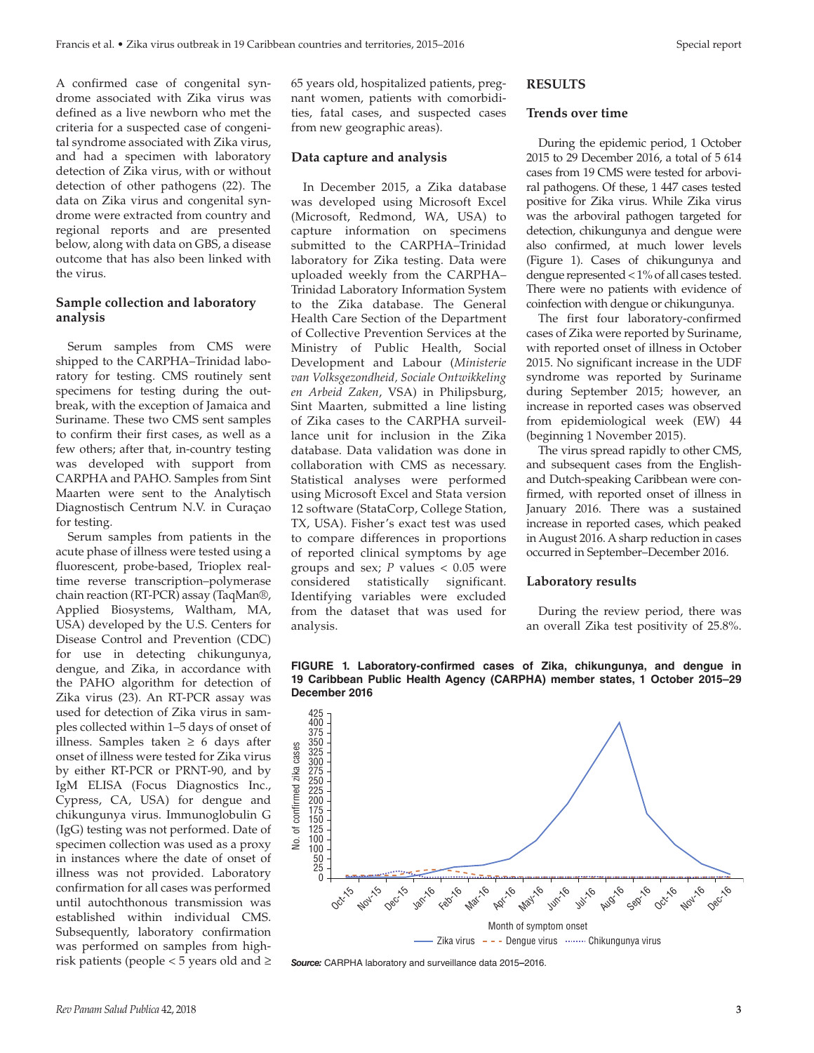A confirmed case of congenital syndrome associated with Zika virus was defined as a live newborn who met the criteria for a suspected case of congenital syndrome associated with Zika virus, and had a specimen with laboratory detection of Zika virus, with or without detection of other pathogens (22). The data on Zika virus and congenital syndrome were extracted from country and regional reports and are presented below, along with data on GBS, a disease outcome that has also been linked with the virus.

## **Sample collection and laboratory analysis**

Serum samples from CMS were shipped to the CARPHA–Trinidad laboratory for testing. CMS routinely sent specimens for testing during the outbreak, with the exception of Jamaica and Suriname. These two CMS sent samples to confirm their first cases, as well as a few others; after that, in-country testing was developed with support from CARPHA and PAHO. Samples from Sint Maarten were sent to the Analytisch Diagnostisch Centrum N.V. in Curaçao for testing.

Serum samples from patients in the acute phase of illness were tested using a fluorescent, probe-based, Trioplex realtime reverse transcription–polymerase chain reaction (RT-PCR) assay (TaqMan®, Applied Biosystems, Waltham, MA, USA) developed by the U.S. Centers for Disease Control and Prevention (CDC) for use in detecting chikungunya, dengue, and Zika, in accordance with the PAHO algorithm for detection of Zika virus (23). An RT-PCR assay was used for detection of Zika virus in samples collected within 1–5 days of onset of illness. Samples taken ≥ 6 days after onset of illness were tested for Zika virus by either RT-PCR or PRNT-90, and by IgM ELISA (Focus Diagnostics Inc., Cypress, CA, USA) for dengue and chikungunya virus. Immunoglobulin G (IgG) testing was not performed. Date of specimen collection was used as a proxy in instances where the date of onset of illness was not provided. Laboratory confirmation for all cases was performed until autochthonous transmission was established within individual CMS. Subsequently, laboratory confirmation was performed on samples from highrisk patients (people < 5 years old and  $\ge$  65 years old, hospitalized patients, pregnant women, patients with comorbidities, fatal cases, and suspected cases from new geographic areas).

#### **Data capture and analysis**

In December 2015, a Zika database was developed using Microsoft Excel (Microsoft, Redmond, WA, USA) to capture information on specimens submitted to the CARPHA–Trinidad laboratory for Zika testing. Data were uploaded weekly from the CARPHA– Trinidad Laboratory Information System to the Zika database. The General Health Care Section of the Department of Collective Prevention Services at the Ministry of Public Health, Social Development and Labour (*Ministerie van Volksgezondheid, Sociale Ontwikkeling en Arbeid Zaken*, VSA) in Philipsburg, Sint Maarten, submitted a line listing of Zika cases to the CARPHA surveillance unit for inclusion in the Zika database. Data validation was done in collaboration with CMS as necessary. Statistical analyses were performed using Microsoft Excel and Stata version 12 software (StataCorp, College Station, TX, USA). Fisher's exact test was used to compare differences in proportions of reported clinical symptoms by age groups and sex;  $P$  values  $< 0.05$  were considered statistically significant. Identifying variables were excluded from the dataset that was used for analysis.

## **RESULTS**

#### **Trends over time**

During the epidemic period, 1 October 2015 to 29 December 2016, a total of 5 614 cases from 19 CMS were tested for arboviral pathogens. Of these, 1 447 cases tested positive for Zika virus. While Zika virus was the arboviral pathogen targeted for detection, chikungunya and dengue were also confirmed, at much lower levels (Figure 1). Cases of chikungunya and dengue represented < 1% of all cases tested. There were no patients with evidence of coinfection with dengue or chikungunya.

The first four laboratory-confirmed cases of Zika were reported by Suriname, with reported onset of illness in October 2015. No significant increase in the UDF syndrome was reported by Suriname during September 2015; however, an increase in reported cases was observed from epidemiological week (EW) 44 (beginning 1 November 2015).

The virus spread rapidly to other CMS, and subsequent cases from the Englishand Dutch-speaking Caribbean were confirmed, with reported onset of illness in January 2016. There was a sustained increase in reported cases, which peaked in August 2016. A sharp reduction in cases occurred in September–December 2016.

#### **Laboratory results**

During the review period, there was an overall Zika test positivity of 25.8%.





*Source:* CARPHA laboratory and surveillance data 2015**–**2016.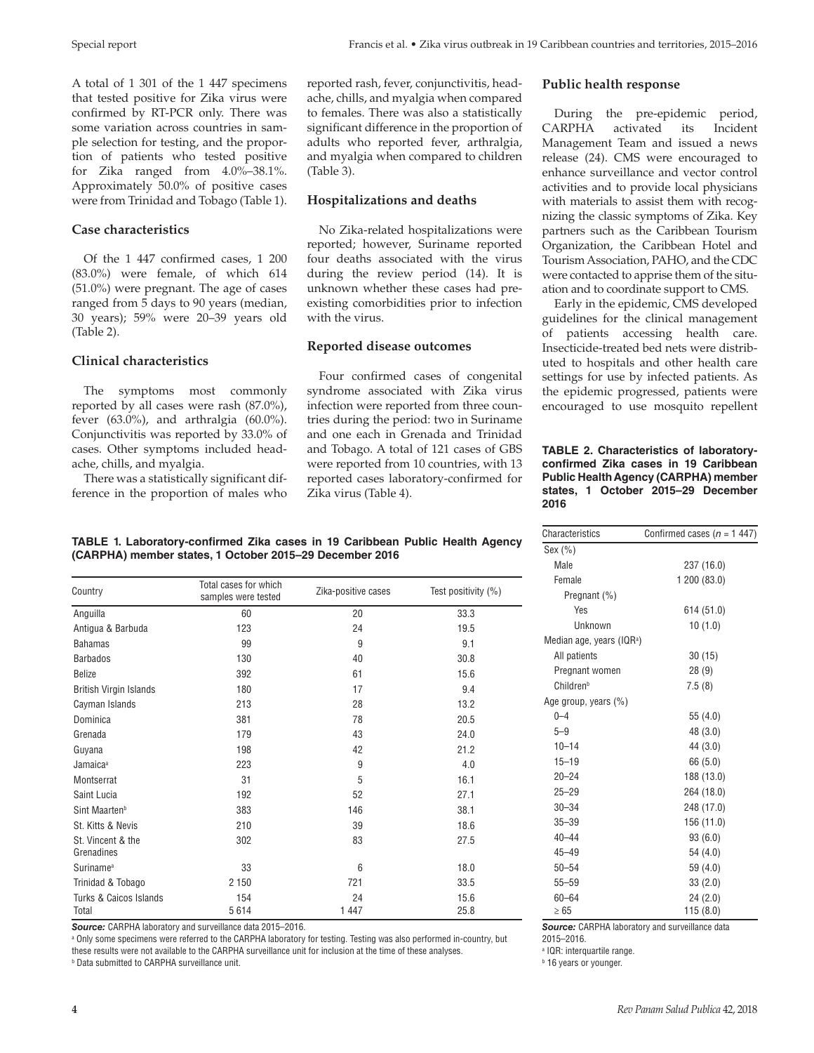A total of 1 301 of the 1 447 specimens that tested positive for Zika virus were confirmed by RT-PCR only. There was some variation across countries in sample selection for testing, and the proportion of patients who tested positive for Zika ranged from 4.0%–38.1%. Approximately 50.0% of positive cases were from Trinidad and Tobago (Table 1).

## **Case characteristics**

Of the 1 447 confirmed cases, 1 200 (83.0%) were female, of which 614 (51.0%) were pregnant. The age of cases ranged from 5 days to 90 years (median, 30 years); 59% were 20–39 years old (Table 2).

## **Clinical characteristics**

The symptoms most commonly reported by all cases were rash (87.0%), fever (63.0%), and arthralgia (60.0%). Conjunctivitis was reported by 33.0% of cases. Other symptoms included headache, chills, and myalgia.

There was a statistically significant difference in the proportion of males who

## **Hospitalizations and deaths**

(Table 3).

No Zika-related hospitalizations were reported; however, Suriname reported four deaths associated with the virus during the review period (14). It is unknown whether these cases had preexisting comorbidities prior to infection with the virus.

and myalgia when compared to children

#### **Reported disease outcomes**

Four confirmed cases of congenital syndrome associated with Zika virus infection were reported from three countries during the period: two in Suriname and one each in Grenada and Trinidad and Tobago. A total of 121 cases of GBS were reported from 10 countries, with 13 reported cases laboratory-confirmed for Zika virus (Table 4).

## **Public health response**

During the pre-epidemic period, CARPHA activated its Incident Management Team and issued a news release (24). CMS were encouraged to enhance surveillance and vector control activities and to provide local physicians with materials to assist them with recognizing the classic symptoms of Zika. Key partners such as the Caribbean Tourism Organization, the Caribbean Hotel and Tourism Association, PAHO, and the CDC were contacted to apprise them of the situation and to coordinate support to CMS.

Early in the epidemic, CMS developed guidelines for the clinical management of patients accessing health care. Insecticide-treated bed nets were distributed to hospitals and other health care settings for use by infected patients. As the epidemic progressed, patients were encouraged to use mosquito repellent

#### **TABLE 2. Characteristics of laboratoryconfirmed Zika cases in 19 Caribbean Public Health Agency (CARPHA) member states, 1 October 2015–29 December 2016**

Characteristics Confirmed cases (*n* = 1 447)

Yes 614 (51.0) Unknown 10 (1.0)

Male 237 (16.0) Female 1 200 (83.0)

All patients 30 (15) Pregnant women 28 (9) Children<sup>b</sup> 7.5 (8)

 $0-4$  55 (4.0) 5–9 48 (3.0) 10–14 44 (3.0) 15–19 66 (5.0) 20–24 188 (13.0) 25–29 264 (18.0) 30–34 248 (17.0) 35–39 156 (11.0) 40–44 93 (6.0) 45–49 54 (4.0) 50–54 59 (4.0) 55–59 33 (2.0) 60–64 24 (2.0)

Sex (%)

Pregnant (%)

Median age, years (IQR<sup>a</sup>)

Age group, years (%)

#### **TABLE 1. Laboratory-confirmed Zika cases in 19 Caribbean Public Health Agency (CARPHA) member states, 1 October 2015–29 December 2016**

| Country                         | Total cases for which<br>samples were tested | Zika-positive cases | Test positivity (%) |  |  |
|---------------------------------|----------------------------------------------|---------------------|---------------------|--|--|
| Anguilla                        | 60                                           | 20                  | 33.3                |  |  |
| Antigua & Barbuda               | 123                                          | 24                  | 19.5                |  |  |
| <b>Bahamas</b>                  | 99                                           | 9                   | 9.1                 |  |  |
| <b>Barbados</b>                 | 130                                          | 40                  | 30.8                |  |  |
| <b>Belize</b>                   | 392                                          | 61                  | 15.6                |  |  |
| <b>British Virgin Islands</b>   | 180                                          | 17                  | 9.4                 |  |  |
| Cayman Islands                  | 213                                          | 28                  | 13.2                |  |  |
| Dominica                        | 381                                          | 78                  | 20.5                |  |  |
| Grenada                         | 179                                          | 43                  | 24.0                |  |  |
| Guyana                          | 198                                          | 42                  | 21.2                |  |  |
| Jamaica <sup>a</sup>            | 223                                          | 9                   | 4.0                 |  |  |
| Montserrat                      | 31                                           | 5                   | 16.1                |  |  |
| Saint Lucia                     | 192                                          | 52                  | 27.1                |  |  |
| Sint Maarten <sup>b</sup>       | 383                                          | 146                 | 38.1                |  |  |
| St. Kitts & Nevis               | 210                                          | 39                  | 18.6                |  |  |
| St. Vincent & the<br>Grenadines | 302                                          | 83                  | 27.5                |  |  |
| Suriname <sup>a</sup>           | 33                                           | 6                   | 18.0                |  |  |
| Trinidad & Tobago               | 2 1 5 0                                      | 721                 | 33.5                |  |  |
| Turks & Caicos Islands          | 154                                          | 24                  | 15.6                |  |  |
| Total                           | 5614                                         | 1 4 4 7             | 25.8                |  |  |

*Source:* CARPHA laboratory and surveillance data 2015–2016.

a Only some specimens were referred to the CARPHA laboratory for testing. Testing was also performed in-country, but

these results were not available to the CARPHA surveillance unit for inclusion at the time of these analyses.

b Data submitted to CARPHA surveillance unit.

 $\geq 65$  115 (8.0) *Source:* CARPHA laboratory and surveillance data 2015–2016.

a IQR: interquartile range.

**b** 16 years or younger.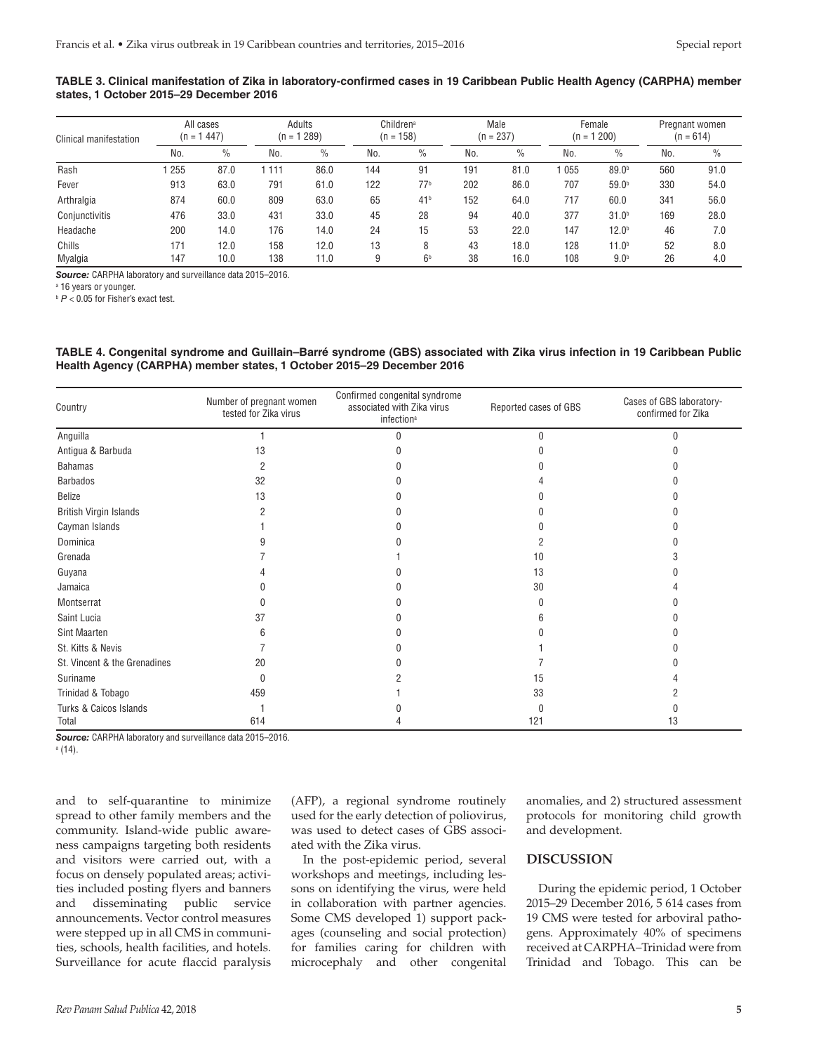#### **TABLE 3. Clinical manifestation of Zika in laboratory-confirmed cases in 19 Caribbean Public Health Agency (CARPHA) member states, 1 October 2015–29 December 2016**

| Clinical manifestation | All cases<br>447)<br>(n = 1 |      | Adults<br>289)<br>$(n = 1)$ |      | Children <sup>a</sup><br>$(n = 158)$ |                 | Male<br>$(n = 237)$ |               | Female<br>1200<br>$(n = 1)$ |                   | Pregnant women<br>$(n = 614)$ |               |
|------------------------|-----------------------------|------|-----------------------------|------|--------------------------------------|-----------------|---------------------|---------------|-----------------------------|-------------------|-------------------------------|---------------|
|                        | No.                         | $\%$ | No.                         | $\%$ | No.                                  | $\%$            | No.                 | $\frac{0}{0}$ | No.                         | $\%$              | No.                           | $\frac{0}{0}$ |
| Rash                   | 255                         | 87.0 | 111                         | 86.0 | 144                                  | 91              | 191                 | 81.0          | 055                         | 89.0 <sup>b</sup> | 560                           | 91.0          |
| Fever                  | 913                         | 63.0 | 791                         | 61.0 | 122                                  | 77 <sup>b</sup> | 202                 | 86.0          | 707                         | 59.0 <sup>b</sup> | 330                           | 54.0          |
| Arthralgia             | 874                         | 60.0 | 809                         | 63.0 | 65                                   | 41 <sup>b</sup> | 152                 | 64.0          | 717                         | 60.0              | 341                           | 56.0          |
| Conjunctivitis         | 476                         | 33.0 | 431                         | 33.0 | 45                                   | 28              | 94                  | 40.0          | 377                         | 31.0 <sup>b</sup> | 169                           | 28.0          |
| Headache               | 200                         | 14.0 | 176                         | 14.0 | 24                                   | 15              | 53                  | 22.0          | 147                         | 12.0 <sup>b</sup> | 46                            | 7.0           |
| Chills                 | 171                         | 12.0 | 158                         | 12.0 | 13                                   | 8               | 43                  | 18.0          | 128                         | 11.0 <sup>b</sup> | 52                            | 8.0           |
| Myalgia                | 147                         | 10.0 | 138                         | 11.0 | 9                                    | 6 <sup>b</sup>  | 38                  | 16.0          | 108                         | 9.0 <sup>b</sup>  | 26                            | 4.0           |

*Source:* CARPHA laboratory and surveillance data 2015–2016.

a 16 years or younger.

**b**  $P < 0.05$  for Fisher's exact test.

#### **TABLE 4. Congenital syndrome and Guillain–Barré syndrome (GBS) associated with Zika virus infection in 19 Caribbean Public Health Agency (CARPHA) member states, 1 October 2015–29 December 2016**

| Country                      | Number of pregnant women<br>tested for Zika virus | Confirmed congenital syndrome<br>Reported cases of GBS<br>associated with Zika virus<br>infection <sup>a</sup> |          | Cases of GBS laboratory-<br>confirmed for Zika |  |
|------------------------------|---------------------------------------------------|----------------------------------------------------------------------------------------------------------------|----------|------------------------------------------------|--|
| Anguilla                     |                                                   |                                                                                                                | $\Omega$ | U                                              |  |
| Antigua & Barbuda            | 13                                                |                                                                                                                |          |                                                |  |
| <b>Bahamas</b>               | 2                                                 |                                                                                                                |          |                                                |  |
| <b>Barbados</b>              | 32                                                |                                                                                                                |          |                                                |  |
| Belize                       | 13                                                |                                                                                                                |          |                                                |  |
| British Virgin Islands       |                                                   |                                                                                                                |          |                                                |  |
| Cayman Islands               |                                                   |                                                                                                                |          |                                                |  |
| Dominica                     |                                                   |                                                                                                                |          |                                                |  |
| Grenada                      |                                                   |                                                                                                                | 10       |                                                |  |
| Guyana                       |                                                   |                                                                                                                | 13       |                                                |  |
| Jamaica                      |                                                   |                                                                                                                | 30       |                                                |  |
| Montserrat                   |                                                   |                                                                                                                |          |                                                |  |
| Saint Lucia                  | 37                                                |                                                                                                                |          |                                                |  |
| Sint Maarten                 |                                                   |                                                                                                                |          |                                                |  |
| St. Kitts & Nevis            |                                                   |                                                                                                                |          |                                                |  |
| St. Vincent & the Grenadines | 20                                                |                                                                                                                |          |                                                |  |
| Suriname                     | 0                                                 |                                                                                                                | 15       |                                                |  |
| Trinidad & Tobago            | 459                                               |                                                                                                                | 33       |                                                |  |
| Turks & Caicos Islands       |                                                   |                                                                                                                |          |                                                |  |
| Total                        | 614                                               |                                                                                                                | 121      | 13                                             |  |

*Source:* CARPHA laboratory and surveillance data 2015–2016.

a (14).

and to self-quarantine to minimize spread to other family members and the community. Island-wide public awareness campaigns targeting both residents and visitors were carried out, with a focus on densely populated areas; activities included posting flyers and banners and disseminating public service announcements. Vector control measures were stepped up in all CMS in communities, schools, health facilities, and hotels. Surveillance for acute flaccid paralysis

(AFP), a regional syndrome routinely used for the early detection of poliovirus, was used to detect cases of GBS associated with the Zika virus.

In the post-epidemic period, several workshops and meetings, including lessons on identifying the virus, were held in collaboration with partner agencies. Some CMS developed 1) support packages (counseling and social protection) for families caring for children with microcephaly and other congenital

anomalies, and 2) structured assessment protocols for monitoring child growth and development.

## **DISCUSSION**

During the epidemic period, 1 October 2015–29 December 2016, 5 614 cases from 19 CMS were tested for arboviral pathogens. Approximately 40% of specimens received at CARPHA–Trinidad were from Trinidad and Tobago. This can be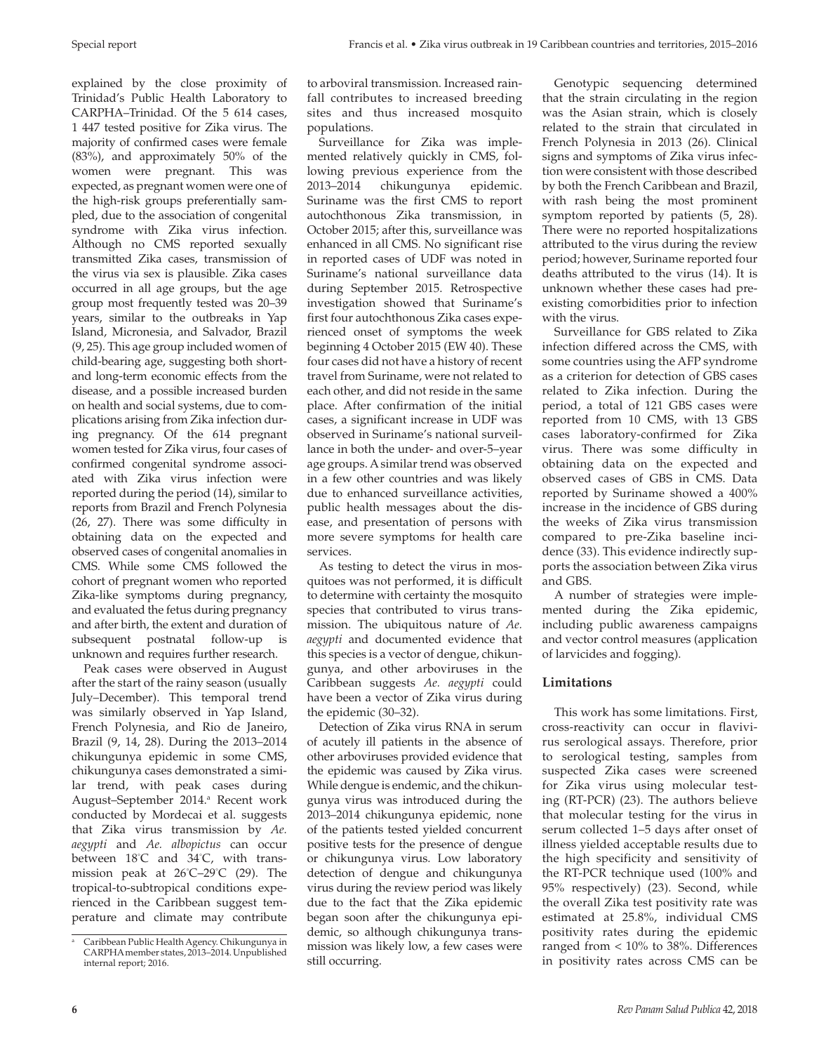explained by the close proximity of Trinidad's Public Health Laboratory to CARPHA–Trinidad. Of the 5 614 cases, 1 447 tested positive for Zika virus. The majority of confirmed cases were female (83%), and approximately 50% of the women were pregnant. This was expected, as pregnant women were one of the high-risk groups preferentially sampled, due to the association of congenital syndrome with Zika virus infection. Although no CMS reported sexually transmitted Zika cases, transmission of the virus via sex is plausible. Zika cases occurred in all age groups, but the age group most frequently tested was 20–39 years, similar to the outbreaks in Yap Island, Micronesia, and Salvador, Brazil (9, 25). This age group included women of child-bearing age, suggesting both shortand long-term economic effects from the disease, and a possible increased burden on health and social systems, due to complications arising from Zika infection during pregnancy. Of the 614 pregnant women tested for Zika virus, four cases of confirmed congenital syndrome associated with Zika virus infection were reported during the period (14), similar to reports from Brazil and French Polynesia (26, 27). There was some difficulty in obtaining data on the expected and observed cases of congenital anomalies in CMS. While some CMS followed the cohort of pregnant women who reported Zika-like symptoms during pregnancy, and evaluated the fetus during pregnancy and after birth, the extent and duration of subsequent postnatal follow-up is unknown and requires further research.

Peak cases were observed in August after the start of the rainy season (usually July–December). This temporal trend was similarly observed in Yap Island, French Polynesia, and Rio de Janeiro, Brazil (9, 14, 28). During the 2013–2014 chikungunya epidemic in some CMS, chikungunya cases demonstrated a similar trend, with peak cases during August–September 2014.<sup>a</sup> Recent work conducted by Mordecai et al. suggests that Zika virus transmission by *Ae. aegypti* and *Ae. albopictus* can occur between 18° C and 34° C, with transmission peak at 26° C–29° C (29). The tropical-to-subtropical conditions experienced in the Caribbean suggest temperature and climate may contribute

to arboviral transmission. Increased rainfall contributes to increased breeding sites and thus increased mosquito populations.

Surveillance for Zika was implemented relatively quickly in CMS, following previous experience from the 2013–2014 chikungunya epidemic. Suriname was the first CMS to report autochthonous Zika transmission, in October 2015; after this, surveillance was enhanced in all CMS. No significant rise in reported cases of UDF was noted in Suriname's national surveillance data during September 2015. Retrospective investigation showed that Suriname's first four autochthonous Zika cases experienced onset of symptoms the week beginning 4 October 2015 (EW 40). These four cases did not have a history of recent travel from Suriname, were not related to each other, and did not reside in the same place. After confirmation of the initial cases, a significant increase in UDF was observed in Suriname's national surveillance in both the under- and over-5–year age groups. A similar trend was observed in a few other countries and was likely due to enhanced surveillance activities, public health messages about the disease, and presentation of persons with more severe symptoms for health care services.

As testing to detect the virus in mosquitoes was not performed, it is difficult to determine with certainty the mosquito species that contributed to virus transmission. The ubiquitous nature of *Ae. aegypti* and documented evidence that this species is a vector of dengue, chikungunya, and other arboviruses in the Caribbean suggests *Ae. aegypti* could have been a vector of Zika virus during the epidemic (30–32).

Detection of Zika virus RNA in serum of acutely ill patients in the absence of other arboviruses provided evidence that the epidemic was caused by Zika virus. While dengue is endemic, and the chikungunya virus was introduced during the 2013–2014 chikungunya epidemic, none of the patients tested yielded concurrent positive tests for the presence of dengue or chikungunya virus. Low laboratory detection of dengue and chikungunya virus during the review period was likely due to the fact that the Zika epidemic began soon after the chikungunya epidemic, so although chikungunya transmission was likely low, a few cases were still occurring.

Genotypic sequencing determined that the strain circulating in the region was the Asian strain, which is closely related to the strain that circulated in French Polynesia in 2013 (26). Clinical signs and symptoms of Zika virus infection were consistent with those described by both the French Caribbean and Brazil, with rash being the most prominent symptom reported by patients (5, 28). There were no reported hospitalizations attributed to the virus during the review period; however, Suriname reported four deaths attributed to the virus (14). It is unknown whether these cases had preexisting comorbidities prior to infection with the virus.

Surveillance for GBS related to Zika infection differed across the CMS, with some countries using the AFP syndrome as a criterion for detection of GBS cases related to Zika infection. During the period, a total of 121 GBS cases were reported from 10 CMS, with 13 GBS cases laboratory-confirmed for Zika virus. There was some difficulty in obtaining data on the expected and observed cases of GBS in CMS. Data reported by Suriname showed a 400% increase in the incidence of GBS during the weeks of Zika virus transmission compared to pre-Zika baseline incidence (33). This evidence indirectly supports the association between Zika virus and GBS.

A number of strategies were implemented during the Zika epidemic, including public awareness campaigns and vector control measures (application of larvicides and fogging).

# **Limitations**

This work has some limitations. First, cross-reactivity can occur in flavivirus serological assays. Therefore, prior to serological testing, samples from suspected Zika cases were screened for Zika virus using molecular testing (RT-PCR) (23). The authors believe that molecular testing for the virus in serum collected 1–5 days after onset of illness yielded acceptable results due to the high specificity and sensitivity of the RT-PCR technique used (100% and 95% respectively) (23). Second, while the overall Zika test positivity rate was estimated at 25.8%, individual CMS positivity rates during the epidemic ranged from < 10% to 38%. Differences in positivity rates across CMS can be

<sup>a</sup> Caribbean Public Health Agency. Chikungunya in CARPHA member states, 2013–2014. Unpublished internal report; 2016.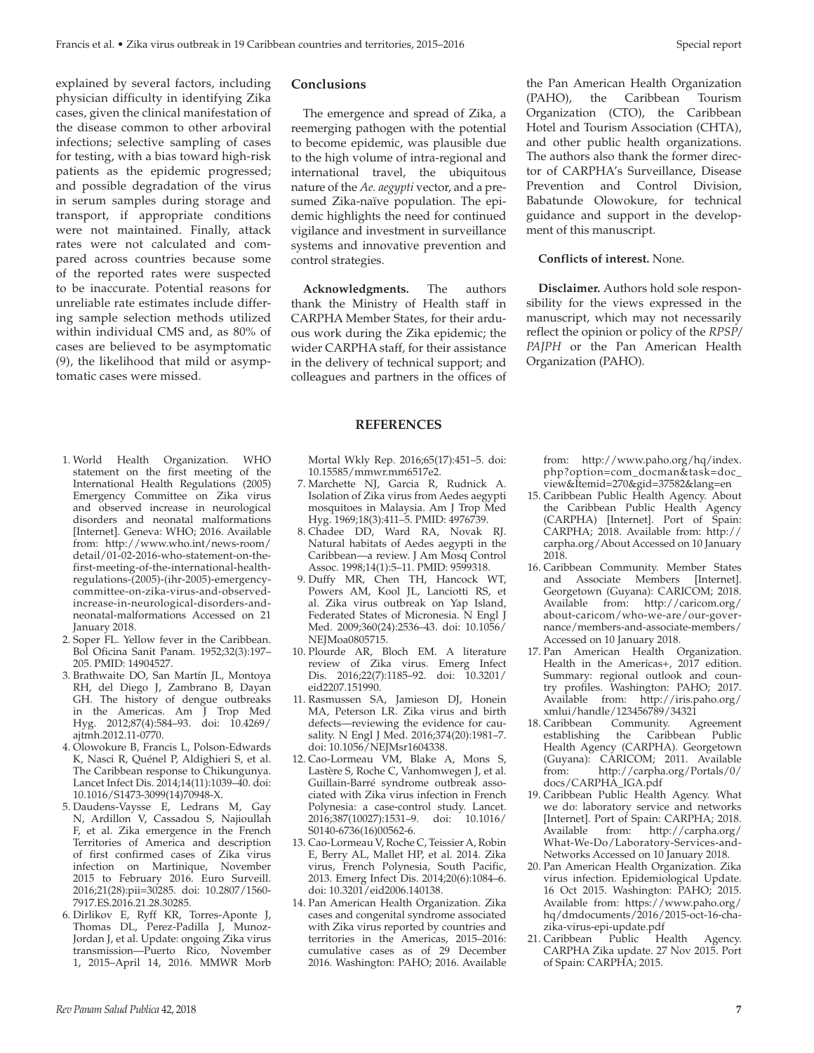explained by several factors, including physician difficulty in identifying Zika cases, given the clinical manifestation of the disease common to other arboviral infections; selective sampling of cases for testing, with a bias toward high-risk patients as the epidemic progressed; and possible degradation of the virus in serum samples during storage and transport, if appropriate conditions were not maintained. Finally, attack rates were not calculated and compared across countries because some of the reported rates were suspected to be inaccurate. Potential reasons for unreliable rate estimates include differing sample selection methods utilized within individual CMS and, as 80% of cases are believed to be asymptomatic (9), the likelihood that mild or asymptomatic cases were missed.

- 1. World Health Organization. WHO statement on the first meeting of the International Health Regulations (2005) Emergency Committee on Zika virus and observed increase in neurological disorders and neonatal malformations [Internet]. Geneva: WHO; 2016. Available from: [http://www.who.int/news-room/](http://www.who.int/news-room/detail/01-02-2016-who-statement-on-the-first-meeting-of-the-international-health-regulations-(2005)-(ihr-2005)-emergency-committee-on-zika-virus-and-observed-increase-in-neurological-disorders-and-neonatal-malformations) [detail/01-02-2016-who-statement-on-the](http://www.who.int/news-room/detail/01-02-2016-who-statement-on-the-first-meeting-of-the-international-health-regulations-(2005)-(ihr-2005)-emergency-committee-on-zika-virus-and-observed-increase-in-neurological-disorders-and-neonatal-malformations)[first-meeting-of-the-international-health](http://www.who.int/news-room/detail/01-02-2016-who-statement-on-the-first-meeting-of-the-international-health-regulations-(2005)-(ihr-2005)-emergency-committee-on-zika-virus-and-observed-increase-in-neurological-disorders-and-neonatal-malformations)[regulations-\(2005\)-\(ihr-2005\)-emergency](http://www.who.int/news-room/detail/01-02-2016-who-statement-on-the-first-meeting-of-the-international-health-regulations-(2005)-(ihr-2005)-emergency-committee-on-zika-virus-and-observed-increase-in-neurological-disorders-and-neonatal-malformations)[committee-on-zika-virus-and-observed](http://www.who.int/news-room/detail/01-02-2016-who-statement-on-the-first-meeting-of-the-international-health-regulations-(2005)-(ihr-2005)-emergency-committee-on-zika-virus-and-observed-increase-in-neurological-disorders-and-neonatal-malformations)[increase-in-neurological-disorders-and](http://www.who.int/news-room/detail/01-02-2016-who-statement-on-the-first-meeting-of-the-international-health-regulations-(2005)-(ihr-2005)-emergency-committee-on-zika-virus-and-observed-increase-in-neurological-disorders-and-neonatal-malformations)[neonatal-malformations](http://www.who.int/news-room/detail/01-02-2016-who-statement-on-the-first-meeting-of-the-international-health-regulations-(2005)-(ihr-2005)-emergency-committee-on-zika-virus-and-observed-increase-in-neurological-disorders-and-neonatal-malformations) Accessed on 21 January 2018.
- 2. Soper FL. Yellow fever in the Caribbean. Bol Oficina Sanit Panam. 1952;32(3):197– 205. PMID: 14904527.
- 3. Brathwaite DO, San Martín JL, Montoya RH, del Diego J, Zambrano B, Dayan GH. The history of dengue outbreaks in the Americas. Am J Trop Med Hyg. 2012;87(4):584–93. doi: 10.4269/ ajtmh.2012.11-0770.
- 4. Olowokure B, Francis L, Polson-Edwards K, Nasci R, Quénel P, Aldighieri S, et al. The Caribbean response to Chikungunya. Lancet Infect Dis. 2014;14(11):1039–40. doi: 10.1016/S1473-3099(14)70948-X.
- 5. Daudens-Vaysse E, Ledrans M, Gay N, Ardillon V, Cassadou S, Najioullah F, et al. Zika emergence in the French Territories of America and description of first confirmed cases of Zika virus infection on Martinique, November 2015 to February 2016. Euro Surveill. 2016;21(28):pii=30285. doi: 10.2807/1560- 7917.ES.2016.21.28.30285.
- 6. Dirlikov E, Ryff KR, Torres-Aponte J, Thomas DL, Perez-Padilla J, Munoz-Jordan J, et al. Update: ongoing Zika virus transmission—Puerto Rico, November 1, 2015–April 14, 2016. MMWR Morb

## **Conclusions**

The emergence and spread of Zika, a reemerging pathogen with the potential to become epidemic, was plausible due to the high volume of intra-regional and international travel, the ubiquitous nature of the *Ae. aegypti* vector, and a presumed Zika-naïve population. The epidemic highlights the need for continued vigilance and investment in surveillance systems and innovative prevention and control strategies.

**Acknowledgments.** The authors thank the Ministry of Health staff in CARPHA Member States, for their arduous work during the Zika epidemic; the wider CARPHA staff, for their assistance in the delivery of technical support; and colleagues and partners in the offices of

#### **REFERENCES**

Mortal Wkly Rep. 2016;65(17):451–5. doi: 10.15585/mmwr.mm6517e2.

- 7. Marchette NJ, Garcia R, Rudnick A. Isolation of Zika virus from Aedes aegypti mosquitoes in Malaysia. Am J Trop Med Hyg. 1969;18(3):411–5. PMID: 4976739.
- 8. Chadee DD, Ward RA, Novak RJ. Natural habitats of Aedes aegypti in the Caribbean—a review. J Am Mosq Control Assoc. 1998;14(1):5–11. PMID: 9599318.
- 9. Duffy MR, Chen TH, Hancock WT, Powers AM, Kool JL, Lanciotti RS, et al. Zika virus outbreak on Yap Island, Federated States of Micronesia. N Engl J Med. 2009;360(24):2536–43. doi: 10.1056/ NEIMoa0805715.
- 10. Plourde AR, Bloch EM. A literature review of Zika virus. Emerg Infect Dis. 2016;22(7):1185–92. doi: 10.3201/ eid2207.151990.
- 11. Rasmussen SA, Jamieson DJ, Honein MA, Peterson LR. Zika virus and birth defects—reviewing the evidence for causality. N Engl J Med. 2016;374(20):1981–7. doi: 10.1056/NEJMsr1604338.
- 12. Cao-Lormeau VM, Blake A, Mons S, Lastère S, Roche C, Vanhomwegen J, et al. Guillain-Barré syndrome outbreak associated with Zika virus infection in French Polynesia: a case-control study. Lancet. 2016;387(10027):1531–9. doi: 10.1016/ S0140-6736(16)00562-6.
- 13. Cao-Lormeau V, Roche C, Teissier A, Robin E, Berry AL, Mallet HP, et al. 2014. Zika virus, French Polynesia, South Pacific, 2013. Emerg Infect Dis. 2014;20(6):1084–6. doi: 10.3201/eid2006.140138.
- 14. Pan American Health Organization. Zika cases and congenital syndrome associated with Zika virus reported by countries and territories in the Americas, 2015–2016: cumulative cases as of 29 December 2016. Washington: PAHO; 2016. Available

the Pan American Health Organization (PAHO), the Caribbean Tourism Organization (CTO), the Caribbean Hotel and Tourism Association (CHTA), and other public health organizations. The authors also thank the former director of CARPHA's Surveillance, Disease Prevention and Control Division, Babatunde Olowokure, for technical guidance and support in the development of this manuscript.

#### **Conflicts of interest.** None.

**Disclaimer.** Authors hold sole responsibility for the views expressed in the manuscript, which may not necessarily reflect the opinion or policy of the *RPSP/ PAJPH* or the Pan American Health Organization (PAHO).

from: [http://www.paho.org/hq/index.](http://www.paho.org/hq/index.php?option=com_docman&task=doc_view&Itemid=270&gid=37582&lang=en) [php?option=com\\_docman&task=doc\\_](http://www.paho.org/hq/index.php?option=com_docman&task=doc_view&Itemid=270&gid=37582&lang=en) [view&Itemid=270&gid=37582&lang=en](http://www.paho.org/hq/index.php?option=com_docman&task=doc_view&Itemid=270&gid=37582&lang=en)

- 15. Caribbean Public Health Agency. About the Caribbean Public Health Agency (CARPHA) [Internet]. Port of Spain: CARPHA; 2018. Available from: [http://](http://carpha.org/About) [carpha.org/About](http://carpha.org/About) Accessed on 10 January 2018.
- 16. Caribbean Community. Member States and Associate Members [Internet]. Georgetown (Guyana): CARICOM; 2018. Available from: [http://caricom.org/](http://caricom.org/about-caricom/who-we-are/our-governance/members-and-associate-members/) [about-caricom/who-we-are/our-gover](http://caricom.org/about-caricom/who-we-are/our-governance/members-and-associate-members/)[nance/members-and-associate-members/](http://caricom.org/about-caricom/who-we-are/our-governance/members-and-associate-members/) Accessed on 10 January 2018.
- 17. Pan American Health Organization. Health in the Americas+, 2017 edition. Summary: regional outlook and country profiles. Washington: PAHO; 2017. Available from: [http://iris.paho.org/](http://iris.paho.org/xmlui/handle/123456789/34321) [xmlui/handle/123456789/34321](http://iris.paho.org/xmlui/handle/123456789/34321)
- 18. Caribbean Community. Agreement establishing the Caribbean Public Health Agency (CARPHA). Georgetown (Guyana): CARICOM; 2011. Available from: [http://carpha.org/Portals/0/](http://carpha.org/Portals/0/docs/CARPHA_IGA.pdf) [docs/CARPHA\\_IGA.pdf](http://carpha.org/Portals/0/docs/CARPHA_IGA.pdf)
- 19. Caribbean Public Health Agency. What we do: laboratory service and networks [Internet]. Port of Spain: CARPHA; 2018.<br>Available from: http://carpha.org/ from: [http://carpha.org/](http://carpha.org/What-We-Do/Laboratory-Services-and-Networks) [What-We-Do/Laboratory-Services-and-](http://carpha.org/What-We-Do/Laboratory-Services-and-Networks)[Networks](http://carpha.org/What-We-Do/Laboratory-Services-and-Networks) Accessed on 10 January 2018.
- 20. Pan American Health Organization. Zika virus infection. Epidemiological Update. 16 Oct 2015. Washington: PAHO; 2015. Available from: [https://www.paho.org/](https://www.paho.org/hq/dmdocuments/2016/2015-oct-16-cha-zika-virus-epi-update.pdf) [hq/dmdocuments/2016/2015-oct-16-cha](https://www.paho.org/hq/dmdocuments/2016/2015-oct-16-cha-zika-virus-epi-update.pdf)[zika-virus-epi-update.pdf](https://www.paho.org/hq/dmdocuments/2016/2015-oct-16-cha-zika-virus-epi-update.pdf)
- 21. Caribbean Public Health Agency. CARPHA Zika update. 27 Nov 2015. Port of Spain: CARPHA; 2015.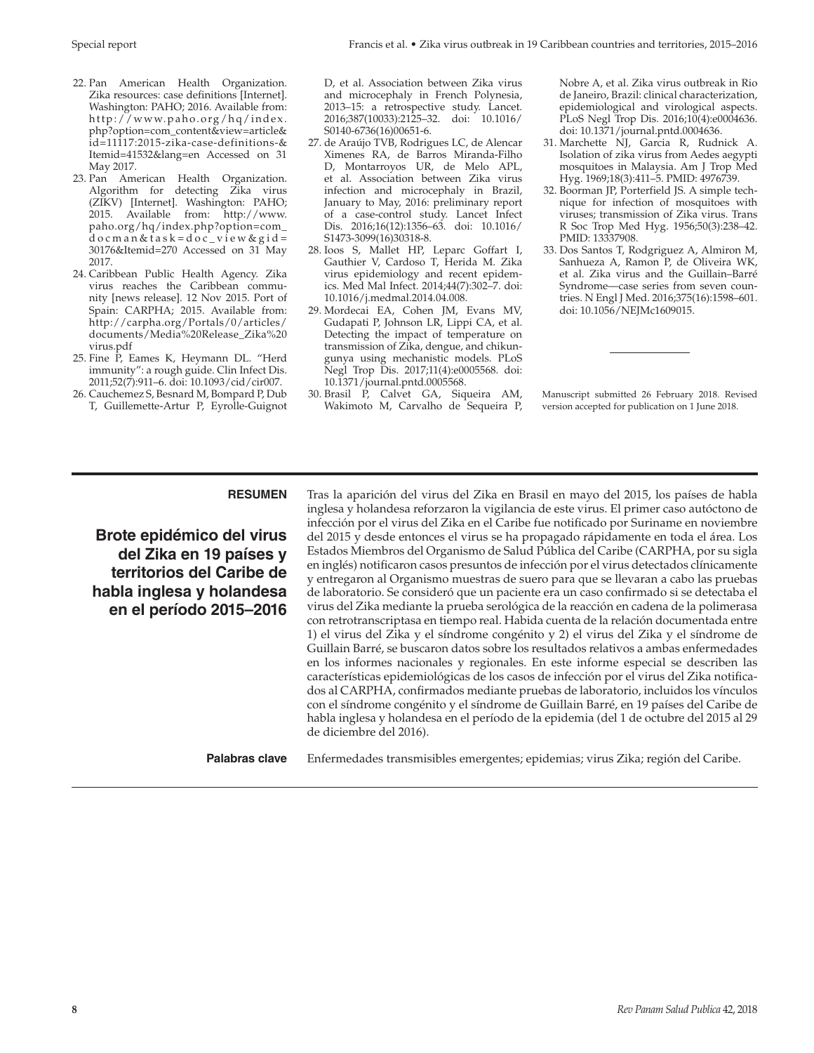- 22. Pan American Health Organization. Zika resources: case definitions [Internet]. Washington: PAHO; 2016. Available from: [http://www.paho.org/hq/index.](http://www.paho.org/hq/index.php?option=com_content&view=article&id=11117:2015-zika-case-definitions-&Itemid=41532&lang=en) [php?option=com\\_content&view=article&](http://www.paho.org/hq/index.php?option=com_content&view=article&id=11117:2015-zika-case-definitions-&Itemid=41532&lang=en) [id=11117:2015-zika-case-definitions-&](http://www.paho.org/hq/index.php?option=com_content&view=article&id=11117:2015-zika-case-definitions-&Itemid=41532&lang=en) [Itemid=41532&lang=en](http://www.paho.org/hq/index.php?option=com_content&view=article&id=11117:2015-zika-case-definitions-&Itemid=41532&lang=en) Accessed on 31 May 2017.
- 23. Pan American Health Organization. Algorithm for detecting Zika virus (ZIKV) [Internet]. Washington: PAHO; 2015. Available from: [http://www.](http://www.paho.org/hq/index.php?option=com_docman&task=doc_view&gid=30176&Itemid=270) [paho.org/hq/index.php?option=com\\_](http://www.paho.org/hq/index.php?option=com_docman&task=doc_view&gid=30176&Itemid=270) [docman&task=doc\\_view&gid=](http://www.paho.org/hq/index.php?option=com_docman&task=doc_view&gid=30176&Itemid=270) [30176&Itemid=270](http://www.paho.org/hq/index.php?option=com_docman&task=doc_view&gid=30176&Itemid=270) Accessed on 31 May 2017.
- 24. Caribbean Public Health Agency. Zika virus reaches the Caribbean community [news release]. 12 Nov 2015. Port of Spain: CARPHA; 2015. Available from: [http://carpha.org/Portals/0/articles/](http://carpha.org/Portals/0/articles/documents/Media%20Release_Zika%20virus.pdf) [documents/Media%20Release\\_Zika%20](http://carpha.org/Portals/0/articles/documents/Media%20Release_Zika%20virus.pdf) [virus.pdf](http://carpha.org/Portals/0/articles/documents/Media%20Release_Zika%20virus.pdf)
- 25. Fine P, Eames K, Heymann DL. "Herd immunity": a rough guide. Clin Infect Dis. 2011;52(7):911–6. doi: 10.1093/cid/cir007.
- 26. Cauchemez S, Besnard M, Bompard P, Dub T, Guillemette-Artur P, Eyrolle-Guignot

D, et al. Association between Zika virus and microcephaly in French Polynesia, 2013–15: a retrospective study. Lancet. 2016;387(10033):2125–32. doi: 10.1016/ S0140-6736(16)00651-6.

- 27. de Araújo TVB, Rodrigues LC, de Alencar Ximenes RA, de Barros Miranda-Filho D, Montarroyos UR, de Melo APL, et al. Association between Zika virus infection and microcephaly in Brazil, January to May, 2016: preliminary report of a case-control study. Lancet Infect Dis. 2016;16(12):1356–63. doi: 10.1016/ S1473-3099(16)30318-8.
- 28. Ioos S, Mallet HP, Leparc Goffart I, Gauthier V, Cardoso T, Herida M. Zika virus epidemiology and recent epidemics. Med Mal Infect. 2014;44(7):302–7. doi: 10.1016/j.medmal.2014.04.008.
- 29. Mordecai EA, Cohen JM, Evans MV, Gudapati P, Johnson LR, Lippi CA, et al. Detecting the impact of temperature on transmission of Zika, dengue, and chikungunya using mechanistic models. PLoS Negl Trop Dis. 2017;11(4):e0005568. doi: 10.1371/journal.pntd.0005568.
- 30. Brasil P, Calvet GA, Siqueira AM, Wakimoto M, Carvalho de Sequeira P,

Nobre A, et al. Zika virus outbreak in Rio de Janeiro, Brazil: clinical characterization, epidemiological and virological aspects. PLoS Negl Trop Dis. 2016;10(4):e0004636. doi: 10.1371/journal.pntd.0004636.

- 31. Marchette NJ, Garcia R, Rudnick A. Isolation of zika virus from Aedes aegypti mosquitoes in Malaysia. Am J Trop Med Hyg. 1969;18(3):411–5. PMID: 4976739.
- 32. Boorman JP, Porterfield JS. A simple technique for infection of mosquitoes with viruses; transmission of Zika virus. Trans R Soc Trop Med Hyg. 1956;50(3):238–42. PMID: 13337908.
- 33. Dos Santos T, Rodgriguez A, Almiron M, Sanhueza A, Ramon P, de Oliveira WK, et al. Zika virus and the Guillain–Barré Syndrome—case series from seven countries. N Engl J Med. 2016;375(16):1598–601. doi: 10.1056/NEJMc1609015.

Manuscript submitted 26 February 2018. Revised version accepted for publication on 1 June 2018.

# **RESUMEN**

**Brote epidémico del virus del Zika en 19 países y territorios del Caribe de habla inglesa y holandesa en el período 2015–2016**

Tras la aparición del virus del Zika en Brasil en mayo del 2015, los países de habla inglesa y holandesa reforzaron la vigilancia de este virus. El primer caso autóctono de infección por el virus del Zika en el Caribe fue notificado por Suriname en noviembre del 2015 y desde entonces el virus se ha propagado rápidamente en toda el área. Los Estados Miembros del Organismo de Salud Pública del Caribe (CARPHA, por su sigla en inglés) notificaron casos presuntos de infección por el virus detectados clínicamente y entregaron al Organismo muestras de suero para que se llevaran a cabo las pruebas de laboratorio. Se consideró que un paciente era un caso confirmado si se detectaba el virus del Zika mediante la prueba serológica de la reacción en cadena de la polimerasa con retrotranscriptasa en tiempo real. Habida cuenta de la relación documentada entre 1) el virus del Zika y el síndrome congénito y 2) el virus del Zika y el síndrome de Guillain Barré, se buscaron datos sobre los resultados relativos a ambas enfermedades en los informes nacionales y regionales. En este informe especial se describen las características epidemiológicas de los casos de infección por el virus del Zika notificados al CARPHA, confirmados mediante pruebas de laboratorio, incluidos los vínculos con el síndrome congénito y el síndrome de Guillain Barré, en 19 países del Caribe de habla inglesa y holandesa en el período de la epidemia (del 1 de octubre del 2015 al 29 de diciembre del 2016).

**Palabras clave** Enfermedades transmisibles emergentes; epidemias; virus Zika; región del Caribe.